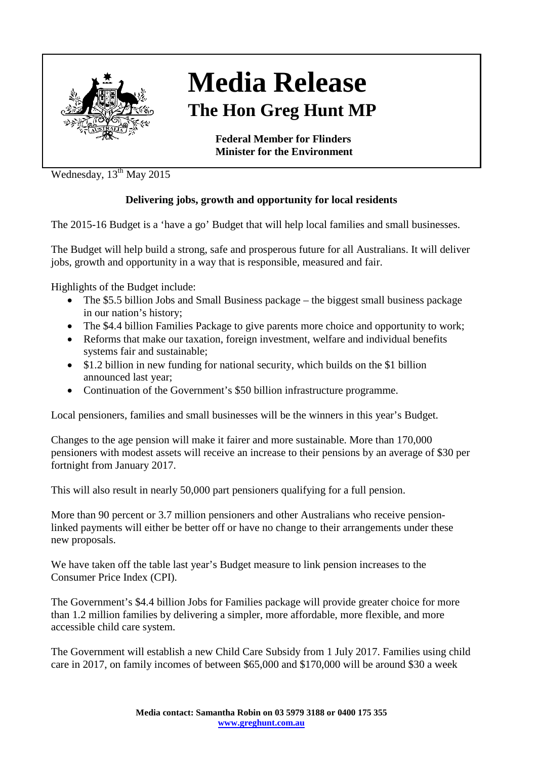

## **Media Release The Hon Greg Hunt MP**

**Federal Member for Flinders Minister for the Environment**

Wednesday,  $13^{th}$  May 2015

## **Delivering jobs, growth and opportunity for local residents**

The 2015-16 Budget is a 'have a go' Budget that will help local families and small businesses.

The Budget will help build a strong, safe and prosperous future for all Australians. It will deliver jobs, growth and opportunity in a way that is responsible, measured and fair.

Highlights of the Budget include:

- The \$5.5 billion Jobs and Small Business package the biggest small business package in our nation's history;
- The \$4.4 billion Families Package to give parents more choice and opportunity to work;
- Reforms that make our taxation, foreign investment, welfare and individual benefits systems fair and sustainable;
- \$1.2 billion in new funding for national security, which builds on the \$1 billion announced last year;
- Continuation of the Government's \$50 billion infrastructure programme.

Local pensioners, families and small businesses will be the winners in this year's Budget.

Changes to the age pension will make it fairer and more sustainable. More than 170,000 pensioners with modest assets will receive an increase to their pensions by an average of \$30 per fortnight from January 2017.

This will also result in nearly 50,000 part pensioners qualifying for a full pension.

More than 90 percent or 3.7 million pensioners and other Australians who receive pensionlinked payments will either be better off or have no change to their arrangements under these new proposals.

We have taken off the table last year's Budget measure to link pension increases to the Consumer Price Index (CPI).

The Government's \$4.4 billion Jobs for Families package will provide greater choice for more than 1.2 million families by delivering a simpler, more affordable, more flexible, and more accessible child care system.

The Government will establish a new Child Care Subsidy from 1 July 2017. Families using child care in 2017, on family incomes of between \$65,000 and \$170,000 will be around \$30 a week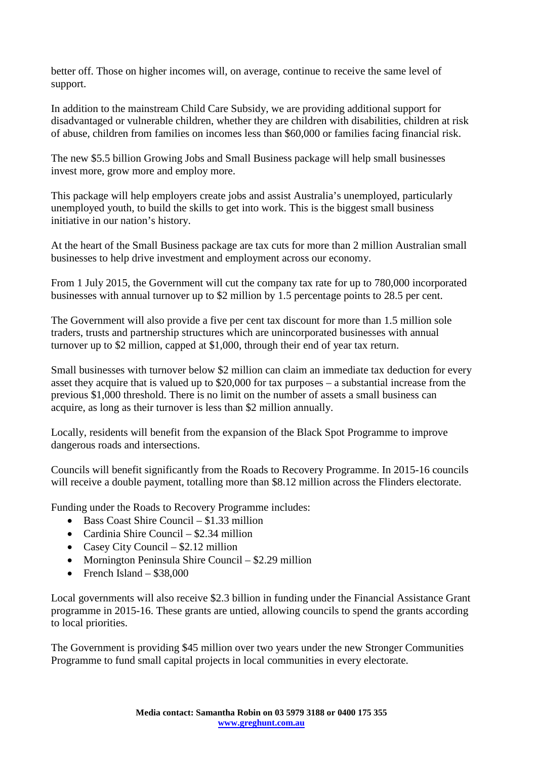better off. Those on higher incomes will, on average, continue to receive the same level of support.

In addition to the mainstream Child Care Subsidy, we are providing additional support for disadvantaged or vulnerable children, whether they are children with disabilities, children at risk of abuse, children from families on incomes less than \$60,000 or families facing financial risk.

The new \$5.5 billion Growing Jobs and Small Business package will help small businesses invest more, grow more and employ more.

This package will help employers create jobs and assist Australia's unemployed, particularly unemployed youth, to build the skills to get into work. This is the biggest small business initiative in our nation's history.

At the heart of the Small Business package are tax cuts for more than 2 million Australian small businesses to help drive investment and employment across our economy.

From 1 July 2015, the Government will cut the company tax rate for up to 780,000 incorporated businesses with annual turnover up to \$2 million by 1.5 percentage points to 28.5 per cent.

The Government will also provide a five per cent tax discount for more than 1.5 million sole traders, trusts and partnership structures which are unincorporated businesses with annual turnover up to \$2 million, capped at \$1,000, through their end of year tax return.

Small businesses with turnover below \$2 million can claim an immediate tax deduction for every asset they acquire that is valued up to \$20,000 for tax purposes – a substantial increase from the previous \$1,000 threshold. There is no limit on the number of assets a small business can acquire, as long as their turnover is less than \$2 million annually.

Locally, residents will benefit from the expansion of the Black Spot Programme to improve dangerous roads and intersections.

Councils will benefit significantly from the Roads to Recovery Programme. In 2015-16 councils will receive a double payment, totalling more than \$8.12 million across the Flinders electorate.

Funding under the Roads to Recovery Programme includes:

- Bass Coast Shire Council  $$1,33$  million
- Cardinia Shire Council \$2.34 million
- Casey City Council \$2.12 million
- Mornington Peninsula Shire Council \$2.29 million
- French Island  $$38,000$

Local governments will also receive \$2.3 billion in funding under the Financial Assistance Grant programme in 2015-16. These grants are untied, allowing councils to spend the grants according to local priorities.

The Government is providing \$45 million over two years under the new Stronger Communities Programme to fund small capital projects in local communities in every electorate.